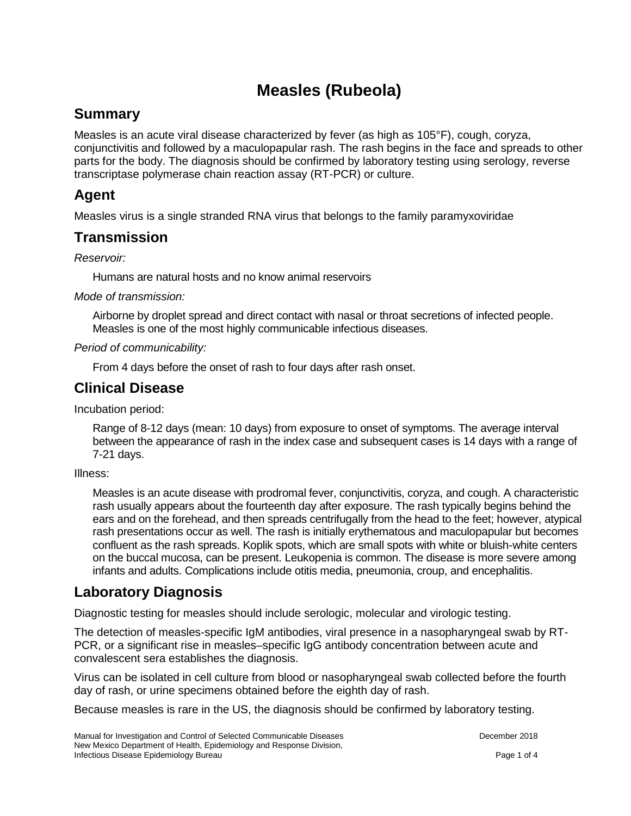# **Measles (Rubeola)**

# **Summary**

Measles is an acute viral disease characterized by fever (as high as 105°F), cough, coryza, conjunctivitis and followed by a maculopapular rash. The rash begins in the face and spreads to other parts for the body. The diagnosis should be confirmed by laboratory testing using serology, reverse transcriptase polymerase chain reaction assay (RT-PCR) or culture.

# **Agent**

Measles virus is a single stranded RNA virus that belongs to the family paramyxoviridae

### **Transmission**

*Reservoir:* 

Humans are natural hosts and no know animal reservoirs

*Mode of transmission:* 

Airborne by droplet spread and direct contact with nasal or throat secretions of infected people. Measles is one of the most highly communicable infectious diseases.

*Period of communicability:* 

From 4 days before the onset of rash to four days after rash onset.

### **Clinical Disease**

Incubation period:

Range of 8-12 days (mean: 10 days) from exposure to onset of symptoms. The average interval between the appearance of rash in the index case and subsequent cases is 14 days with a range of 7-21 days.

Illness:

Measles is an acute disease with prodromal fever, conjunctivitis, coryza, and cough. A characteristic rash usually appears about the fourteenth day after exposure. The rash typically begins behind the ears and on the forehead, and then spreads centrifugally from the head to the feet; however, atypical rash presentations occur as well. The rash is initially erythematous and maculopapular but becomes confluent as the rash spreads. Koplik spots, which are small spots with white or bluish-white centers on the buccal mucosa, can be present. Leukopenia is common. The disease is more severe among infants and adults. Complications include otitis media, pneumonia, croup, and encephalitis.

# **Laboratory Diagnosis**

Diagnostic testing for measles should include serologic, molecular and virologic testing.

The detection of measles-specific IgM antibodies, viral presence in a nasopharyngeal swab by RT-PCR, or a significant rise in measles–specific IgG antibody concentration between acute and convalescent sera establishes the diagnosis.

Virus can be isolated in cell culture from blood or nasopharyngeal swab collected before the fourth day of rash, or urine specimens obtained before the eighth day of rash.

Because measles is rare in the US, the diagnosis should be confirmed by laboratory testing.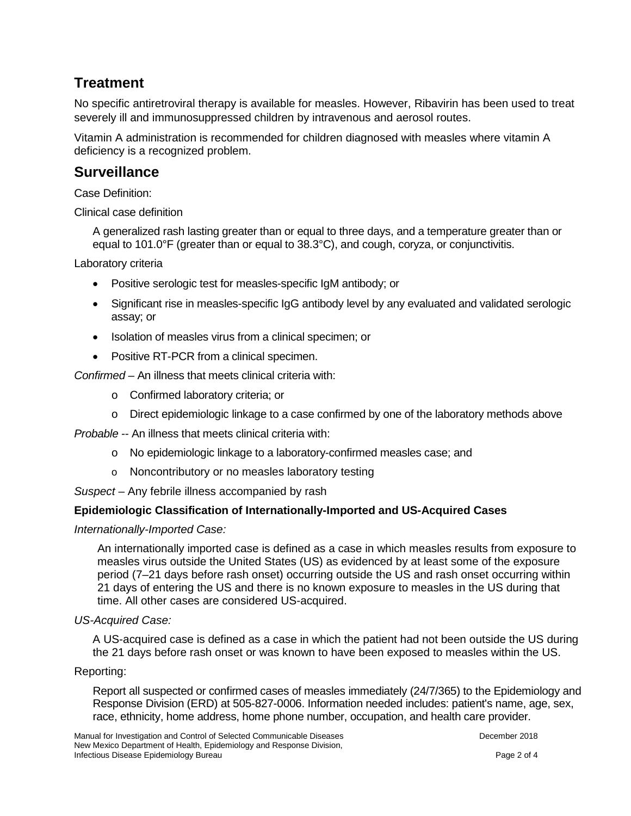# **Treatment**

No specific antiretroviral therapy is available for measles. However, Ribavirin has been used to treat severely ill and immunosuppressed children by intravenous and aerosol routes.

Vitamin A administration is recommended for children diagnosed with measles where vitamin A deficiency is a recognized problem.

### **Surveillance**

Case Definition:

Clinical case definition

A generalized rash lasting greater than or equal to three days, and a temperature greater than or equal to 101.0 $\textdegree$ F (greater than or equal to 38.3 $\textdegree$ C), and cough, coryza, or conjunctivitis.

Laboratory criteria

- Positive serologic test for measles-specific IgM antibody; or
- Significant rise in measles-specific IgG antibody level by any evaluated and validated serologic assay; or
- Isolation of measles virus from a clinical specimen; or
- Positive RT-PCR from a clinical specimen.

*Confirmed –* An illness that meets clinical criteria with:

- o Confirmed laboratory criteria; or
- o Direct epidemiologic linkage to a case confirmed by one of the laboratory methods above

*Probable --* An illness that meets clinical criteria with:

- o No epidemiologic linkage to a laboratory-confirmed measles case; and
- o Noncontributory or no measles laboratory testing
- *Suspect*  Any febrile illness accompanied by rash

#### **Epidemiologic Classification of Internationally-Imported and US-Acquired Cases**

*Internationally-Imported Case:*

An internationally imported case is defined as a case in which measles results from exposure to measles virus outside the United States (US) as evidenced by at least some of the exposure period (7–21 days before rash onset) occurring outside the US and rash onset occurring within 21 days of entering the US and there is no known exposure to measles in the US during that time. All other cases are considered US-acquired.

#### *US-Acquired Case:*

A US-acquired case is defined as a case in which the patient had not been outside the US during the 21 days before rash onset or was known to have been exposed to measles within the US.

#### Reporting:

Report all suspected or confirmed cases of measles immediately (24/7/365) to the Epidemiology and Response Division (ERD) at 505-827-0006. Information needed includes: patient's name, age, sex, race, ethnicity, home address, home phone number, occupation, and health care provider.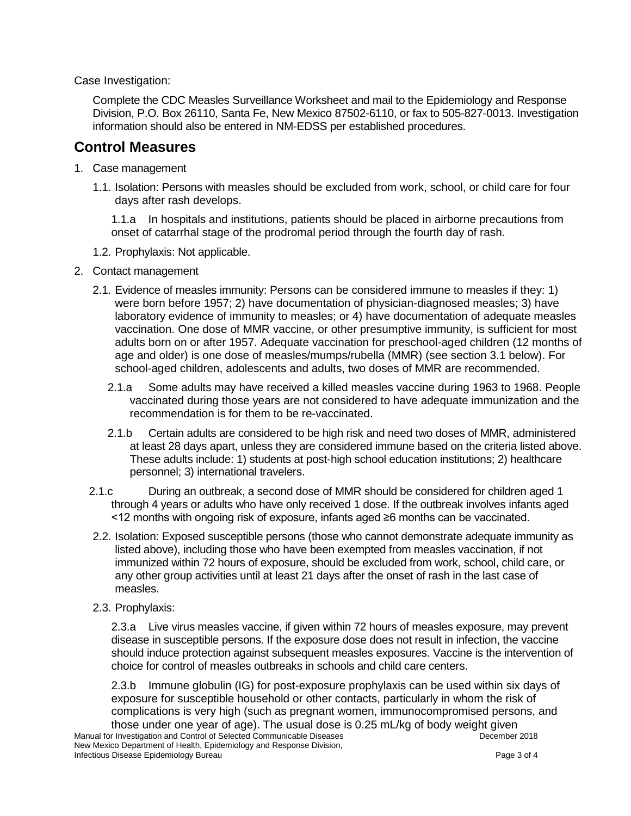Case Investigation:

Complete the CDC Measles Surveillance Worksheet and mail to the Epidemiology and Response Division, P.O. Box 26110, Santa Fe, New Mexico 87502-6110, or fax to 505-827-0013. Investigation information should also be entered in NM-EDSS per established procedures.

#### **Control Measures**

- 1. Case management
	- 1.1. Isolation: Persons with measles should be excluded from work, school, or child care for four days after rash develops.

1.1.a In hospitals and institutions, patients should be placed in airborne precautions from onset of catarrhal stage of the prodromal period through the fourth day of rash.

- 1.2. Prophylaxis: Not applicable.
- 2. Contact management
	- 2.1. Evidence of measles immunity: Persons can be considered immune to measles if they: 1) were born before 1957; 2) have documentation of physician-diagnosed measles; 3) have laboratory evidence of immunity to measles; or 4) have documentation of adequate measles vaccination. One dose of MMR vaccine, or other presumptive immunity, is sufficient for most adults born on or after 1957. Adequate vaccination for preschool-aged children (12 months of age and older) is one dose of measles/mumps/rubella (MMR) (see section 3.1 below). For school-aged children, adolescents and adults, two doses of MMR are recommended.
		- 2.1.a Some adults may have received a killed measles vaccine during 1963 to 1968. People vaccinated during those years are not considered to have adequate immunization and the recommendation is for them to be re-vaccinated.
		- 2.1.b Certain adults are considered to be high risk and need two doses of MMR, administered at least 28 days apart, unless they are considered immune based on the criteria listed above. These adults include: 1) students at post-high school education institutions; 2) healthcare personnel; 3) international travelers.
	- 2.1.c During an outbreak, a second dose of MMR should be considered for children aged 1 through 4 years or adults who have only received 1 dose. If the outbreak involves infants aged <12 months with ongoing risk of exposure, infants aged ≥6 months can be vaccinated.
	- 2.2. Isolation: Exposed susceptible persons (those who cannot demonstrate adequate immunity as listed above), including those who have been exempted from measles vaccination, if not immunized within 72 hours of exposure, should be excluded from work, school, child care, or any other group activities until at least 21 days after the onset of rash in the last case of measles.
	- 2.3. Prophylaxis:

2.3.a Live virus measles vaccine, if given within 72 hours of measles exposure, may prevent disease in susceptible persons. If the exposure dose does not result in infection, the vaccine should induce protection against subsequent measles exposures. Vaccine is the intervention of choice for control of measles outbreaks in schools and child care centers.

2.3.b Immune globulin (IG) for post-exposure prophylaxis can be used within six days of exposure for susceptible household or other contacts, particularly in whom the risk of complications is very high (such as pregnant women, immunocompromised persons, and those under one year of age). The usual dose is 0.25 mL/kg of body weight given